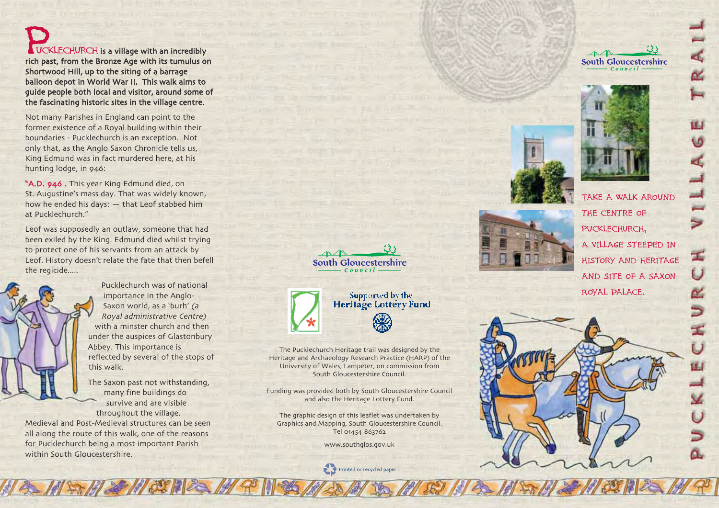**VCKLECHURCH** is a village with an incredibly rich past, from the Bronze Age with its tumulus on Shortwood Hill, up to the siting of a barrage balloon depot in World War II. This walk aims to guide people both local and visitor, around some of the fascinating historic sites in the village centre.

Not many Parishes in England can point to the former existence of a Royal building within their boundaries - Pucklechurch is an exception. Not only that, as the Anglo Saxon Chronicle tells us, King Edmund was in fact murdered here, at his hunting lodge, in 946:

A.D. 946 . This year King Edmund died, on St. Augustine's mass day. That was widely known, how he ended his days: that Leof stabbed him at Pucklechurch.

Leof was supposedly an outlaw, someone that had been exiled by the King. Edmund died whilst trying to protect one of his servants from an attack by Leof. History doesn't relate the fate that then befell the regicide.....

> Pucklechurch was of national importance in the Anglo-Saxon world, as a 'burh' (a Royal administrative Centre with a minster church and then under the auspices of Glastonbury Abbey. This importance is reflected by several of the stops of this walk.

The Saxon past not withstanding, many fine buildings do survive and are visible throughout the village.

Medieval and Post-Medieval structures can be seen all along the route of this walk, one of the reasons for Pucklechurch being a most important Parish within South Gloucestershire.





The Pucklechurch Heritage trail was designed by the Heritage and Archaeology Research Practice (HARP) of the University of Wales, Lampeter, on commission from South Gloucestershire Council.

Funding was provided both by South Gloucestershire Council and also the Heritage Lottery Fund.

The graphic design of this leaflet was undertaken by Graphics and Mapping, South Gloucestershire Council. Tel 01454 863762

www.southglos.gov.uk

Printed or recycled paper







Ū

űЛ

Ł

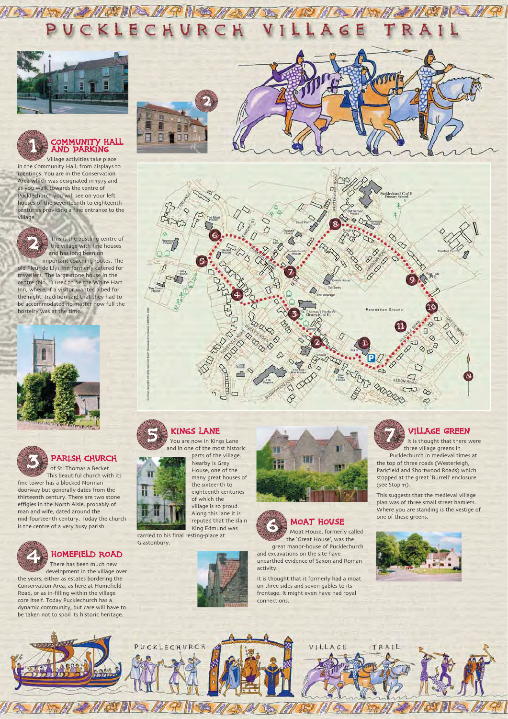Village activities take place in the Community Hall, from displays to meetings. You are in the Conservation Area which was designated in 1975 and as you walk towards the centre of Pucklechurch you will see on your left houses of the seventeenth to eighteenth centuries providing a fine entrance to the village.

> This is the bustling centre of the village with fine houses and has long been on

important coaching routes. The old Fleur de Llys Inn formerly catered for travellers. The large stone house in the centre (No. 1) used to be the White Hart Inn, where, if a visitor wanted a bed for the night, tradition said that they had to be accommodated no matter how full the hostelry was at the time.



KLE CHU





Pucklechurch in medieval times at the top of three roads (Westerleigh, Parkfield and Shortwood Roads) which stopped at the great 'Burrell' enclosure (see Stop 11).

#### Parish Church

of St. Thomas a Becket. This beautiful church with its fine tower has a blocked Norman doorway but generally dates from the thirteenth century. There are two stone effigies in the North Aisle, probably of man and wife, dated around the mid-fourteenth century. Today the church is the centre of a very busy parish.

#### Homefield Road

4

There has been much new

development in the village over the years, either as estates bordering the Conservation Area, as here at Homefield Road, or as in-filling within the village core itself. Today Pucklechurch has a dynamic community, but care will have to be taken not to spoil its historic heritage.













## Village Green

It is thought that there were three village greens in

This suggests that the medieval village plan was of three small street hamlets. Where you are standing is the vestige of one of these greens.





#### You are now in Kings Lane and in one of the most historic

parts of the village. Nearby is Grey House, one of the many great houses of the sixteenth to eighteenth centuries of which the village is so proud. Along this lane it is reputed that the slain King Edmund was

carried to his final resting-place at Glastonbury.



great manor-house of Pucklechurch and excavations on the site have unearthed evidence of Saxon and Roman activity.



It is thought that it formerly had a moat on three sides and seven gables to its frontage. It might even have had royal connections.